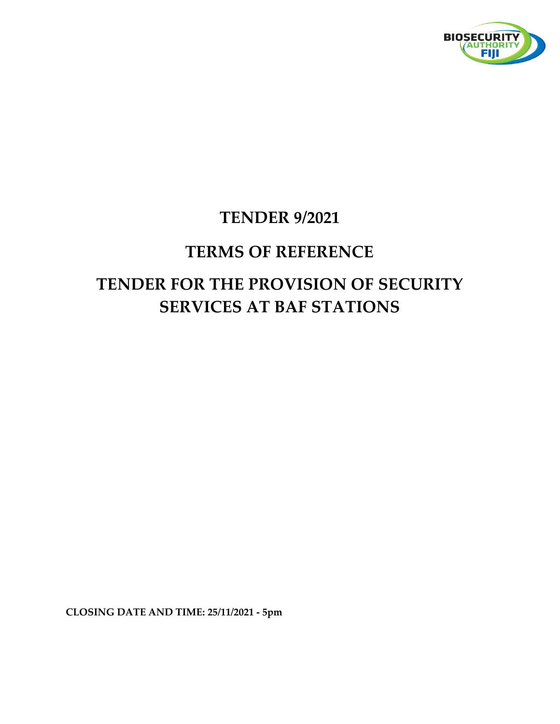

## **TENDER 9/2021**

# **TERMS OF REFERENCE TENDER FOR THE PROVISION OF SECURITY SERVICES AT BAF STATIONS**

**CLOSING DATE AND TIME: 25/11/2021 - 5pm**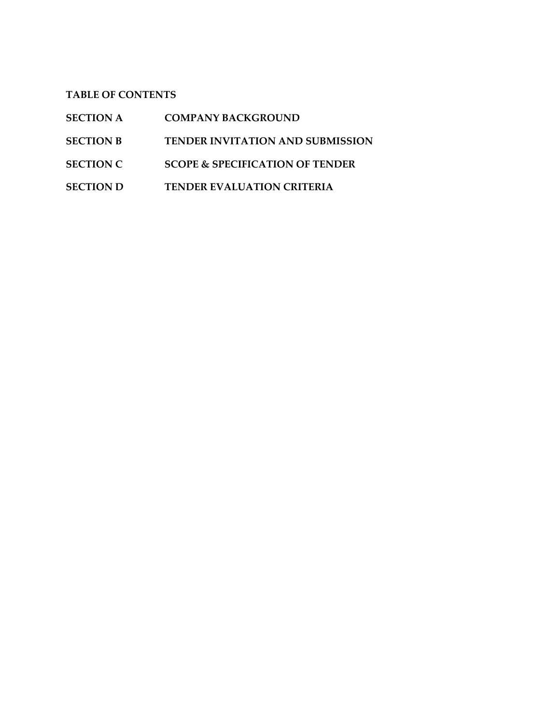**TABLE OF CONTENTS**

| <b>COMPANY BACKGROUND</b><br><b>SECTION A</b> |
|-----------------------------------------------|
|-----------------------------------------------|

- **SECTION B TENDER INVITATION AND SUBMISSION**
- **SECTION C SCOPE & SPECIFICATION OF TENDER**
- **SECTION D TENDER EVALUATION CRITERIA**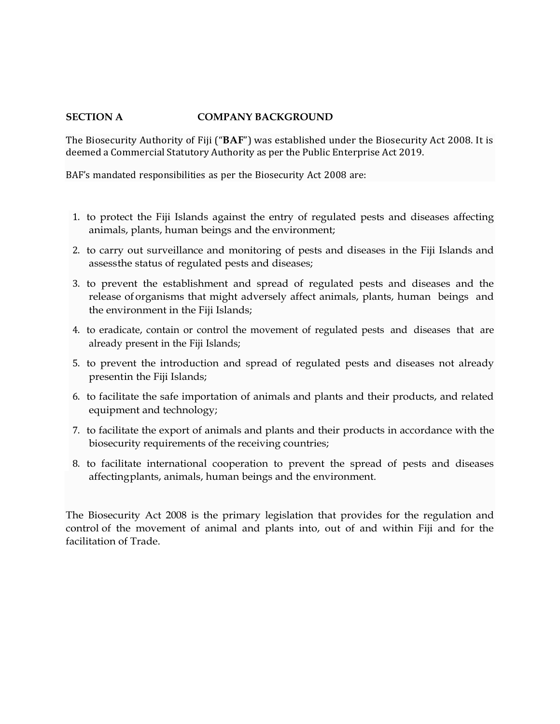#### **SECTION A COMPANY BACKGROUND**

The Biosecurity Authority of Fiji ("**BAF**") was established under the Biosecurity Act 2008. It is deemed a Commercial Statutory Authority as per the Public Enterprise Act 2019.

BAF's mandated responsibilities as per the Biosecurity Act 2008 are:

- 1. to protect the Fiji Islands against the entry of regulated pests and diseases affecting animals, plants, human beings and the environment;
- 2. to carry out surveillance and monitoring of pests and diseases in the Fiji Islands and assessthe status of regulated pests and diseases;
- 3. to prevent the establishment and spread of regulated pests and diseases and the release oforganisms that might adversely affect animals, plants, human beings and the environment in the Fiji Islands;
- 4. to eradicate, contain or control the movement of regulated pests and diseases that are already present in the Fiji Islands;
- 5. to prevent the introduction and spread of regulated pests and diseases not already presentin the Fiji Islands;
- 6. to facilitate the safe importation of animals and plants and their products, and related equipment and technology;
- 7. to facilitate the export of animals and plants and their products in accordance with the biosecurity requirements of the receiving countries;
- 8. to facilitate international cooperation to prevent the spread of pests and diseases affectingplants, animals, human beings and the environment.

The Biosecurity Act 2008 is the primary legislation that provides for the regulation and control of the movement of animal and plants into, out of and within Fiji and for the facilitation of Trade.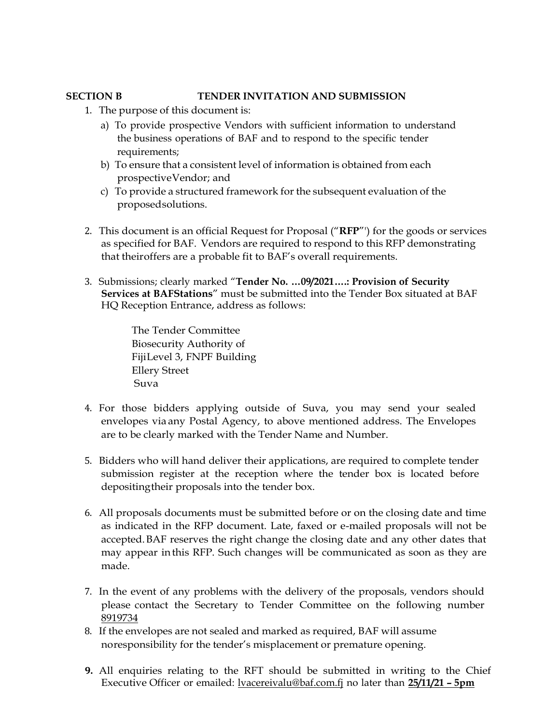#### **SECTION B TENDER INVITATION AND SUBMISSION**

- 1. The purpose of this document is:
	- a) To provide prospective Vendors with sufficient information to understand the business operations of BAF and to respond to the specific tender requirements;
	- b) To ensure that a consistent level of information is obtained from each prospectiveVendor; and
	- c) To provide a structured framework for the subsequent evaluation of the proposedsolutions.
- 2. This document is an official Request for Proposal ("**RFP**"') for the goods or services as specified for BAF. Vendors are required to respond to this RFP demonstrating that theiroffers are a probable fit to BAF's overall requirements.
- 3. Submissions; clearly marked "**Tender No. …09/2021….: Provision of Security Services at BAFStations**" must be submitted into the Tender Box situated at BAF HQ Reception Entrance, address as follows:

The Tender Committee Biosecurity Authority of FijiLevel 3, FNPF Building Ellery Street Suva

- 4. For those bidders applying outside of Suva, you may send your sealed envelopes via any Postal Agency, to above mentioned address. The Envelopes are to be clearly marked with the Tender Name and Number.
- 5. Bidders who will hand deliver their applications, are required to complete tender submission register at the reception where the tender box is located before depositingtheir proposals into the tender box.
- 6. All proposals documents must be submitted before or on the closing date and time as indicated in the RFP document. Late, faxed or e-mailed proposals will not be accepted.BAF reserves the right change the closing date and any other dates that may appear inthis RFP. Such changes will be communicated as soon as they are made.
- 7. In the event of any problems with the delivery of the proposals, vendors should please contact the Secretary to Tender Committee on the following number 8919734
- 8. If the envelopes are not sealed and marked as required, BAF will assume noresponsibility for the tender's misplacement or premature opening.
- **9.** All enquiries relating to the RFT should be submitted in writing to the Chief Executive Officer or emailed: [lvacereivalu@baf.com.fj](mailto:lvacereivalu@baf.com.fj) no later than **25/11/21 – 5pm**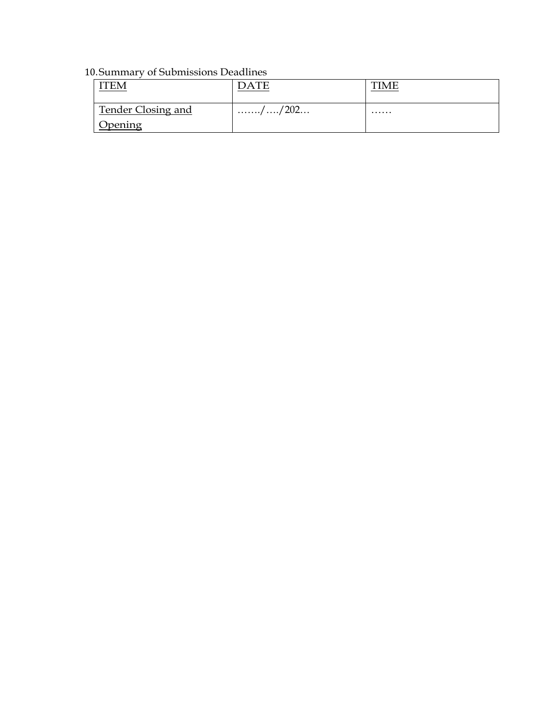### 10.Summary of Submissions Deadlines

| Tender Closing and | $1$ / / 202 | . |
|--------------------|-------------|---|
| <b>Opening</b>     |             |   |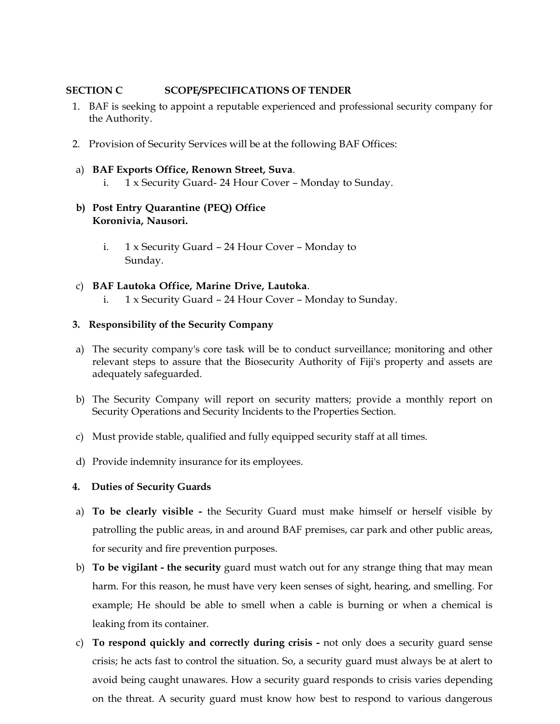#### **SECTION C SCOPE/SPECIFICATIONS OF TENDER**

- 1. BAF is seeking to appoint a reputable experienced and professional security company for the Authority.
- 2. Provision of Security Services will be at the following BAF Offices:
- a) **BAF Exports Office, Renown Street, Suva**.
	- i. 1 x Security Guard- 24 Hour Cover Monday to Sunday.
- **b) Post Entry Quarantine (PEQ) Office Koronivia, Nausori.**
	- i. 1 x Security Guard 24 Hour Cover Monday to Sunday.
- c) **BAF Lautoka Office, Marine Drive, Lautoka**. i. 1 x Security Guard – 24 Hour Cover – Monday to Sunday.

#### **3. Responsibility of the Security Company**

- a) The security company's core task will be to conduct surveillance; monitoring and other relevant steps to assure that the Biosecurity Authority of Fiji's property and assets are adequately safeguarded.
- b) The Security Company will report on security matters; provide a monthly report on Security Operations and Security Incidents to the Properties Section.
- c) Must provide stable, qualified and fully equipped security staff at all times.
- d) Provide indemnity insurance for its employees.

#### **4. Duties of Security Guards**

- a) **To be clearly visible -** the Security Guard must make himself or herself visible by patrolling the public areas, in and around BAF premises, car park and other public areas, for security and fire prevention purposes.
- b) **To be vigilant - the security** guard must watch out for any strange thing that may mean harm. For this reason, he must have very keen senses of sight, hearing, and smelling. For example; He should be able to smell when a cable is burning or when a chemical is leaking from its container.
- c) **To respond quickly and correctly during crisis -** not only does a security guard sense crisis; he acts fast to control the situation. So, a security guard must always be at alert to avoid being caught unawares. How a security guard responds to crisis varies depending on the threat. A security guard must know how best to respond to various dangerous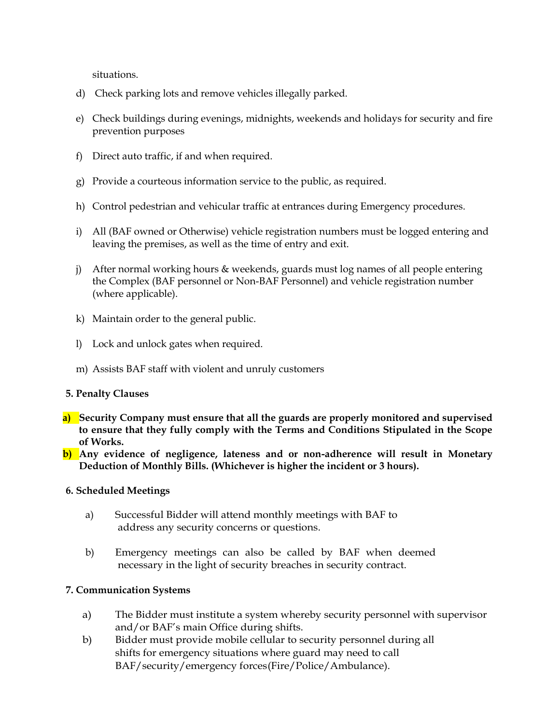situations.

- d) Check parking lots and remove vehicles illegally parked.
- e) Check buildings during evenings, midnights, weekends and holidays for security and fire prevention purposes
- f) Direct auto traffic, if and when required.
- g) Provide a courteous information service to the public, as required.
- h) Control pedestrian and vehicular traffic at entrances during Emergency procedures.
- i) All (BAF owned or Otherwise) vehicle registration numbers must be logged entering and leaving the premises, as well as the time of entry and exit.
- j) After normal working hours & weekends, guards must log names of all people entering the Complex (BAF personnel or Non-BAF Personnel) and vehicle registration number (where applicable).
- k) Maintain order to the general public.
- l) Lock and unlock gates when required.
- m) Assists BAF staff with violent and unruly customers

#### **5. Penalty Clauses**

- **a) Security Company must ensure that all the guards are properly monitored and supervised to ensure that they fully comply with the Terms and Conditions Stipulated in the Scope of Works.**
- **b) Any evidence of negligence, lateness and or non-adherence will result in Monetary Deduction of Monthly Bills. (Whichever is higher the incident or 3 hours).**

#### **6. Scheduled Meetings**

- a) Successful Bidder will attend monthly meetings with BAF to address any security concerns or questions.
- b) Emergency meetings can also be called by BAF when deemed necessary in the light of security breaches in security contract.

#### **7. Communication Systems**

- a) The Bidder must institute a system whereby security personnel with supervisor and/or BAF's main Office during shifts.
- b) Bidder must provide mobile cellular to security personnel during all shifts for emergency situations where guard may need to call BAF/security/emergency forces(Fire/Police/Ambulance).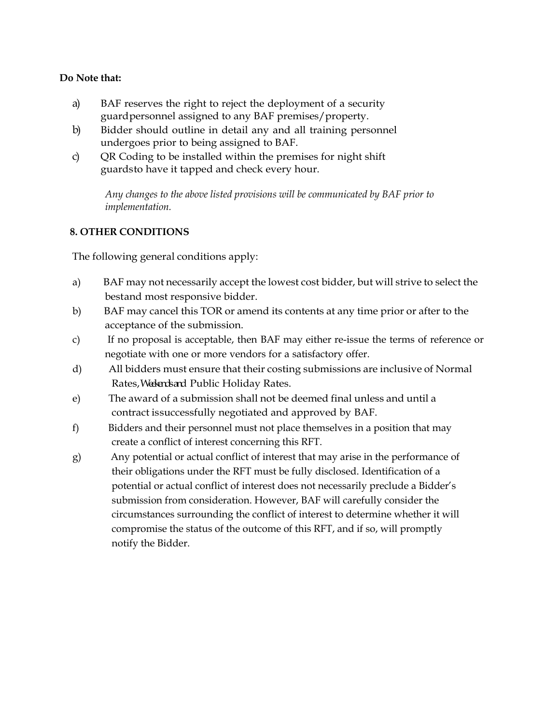#### **Do Note that:**

- a) BAF reserves the right to reject the deployment of a security guardpersonnel assigned to any BAF premises/property.
- b) Bidder should outline in detail any and all training personnel undergoes prior to being assigned to BAF.
- c) OR Coding to be installed within the premises for night shift guardsto have it tapped and check every hour.

*Any changes to the above listed provisions will be communicated by BAF prior to implementation.*

#### **8. OTHER CONDITIONS**

The following general conditions apply:

- a) BAF may not necessarily accept the lowest cost bidder, but will strive to select the bestand most responsive bidder.
- b) BAF may cancel this TOR or amend its contents at any time prior or after to the acceptance of the submission.
- c) If no proposal is acceptable, then BAF may either re-issue the terms of reference or negotiate with one or more vendors for a satisfactory offer.
- d) All bidders must ensure that their costing submissions are inclusive of Normal Rates, Wedends and Public Holiday Rates.
- e) The award of a submission shall not be deemed final unless and until a contract issuccessfully negotiated and approved by BAF.
- f) Bidders and their personnel must not place themselves in a position that may create a conflict of interest concerning this RFT.
- g) Any potential or actual conflict of interest that may arise in the performance of their obligations under the RFT must be fully disclosed. Identification of a potential or actual conflict of interest does not necessarily preclude a Bidder's submission from consideration. However, BAF will carefully consider the circumstances surrounding the conflict of interest to determine whether it will compromise the status of the outcome of this RFT, and if so, will promptly notify the Bidder.